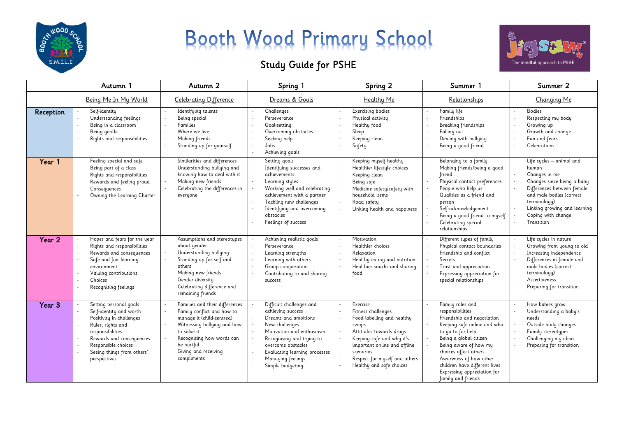

## Booth Wood Primary School

## Study Guide for PSHE



|                   | Autumn 1                                                                                                                                                                                                                | Autumn 2                                                                                                                                                                                                                  | Spring 1                                                                                                                                                                                                                                                 | Spring 2                                                                                                                                                                                                                                | Summer 1                                                                                                                                                                                                                                                                                                           | Summer 2                                                                                                                                                                                                                       |
|-------------------|-------------------------------------------------------------------------------------------------------------------------------------------------------------------------------------------------------------------------|---------------------------------------------------------------------------------------------------------------------------------------------------------------------------------------------------------------------------|----------------------------------------------------------------------------------------------------------------------------------------------------------------------------------------------------------------------------------------------------------|-----------------------------------------------------------------------------------------------------------------------------------------------------------------------------------------------------------------------------------------|--------------------------------------------------------------------------------------------------------------------------------------------------------------------------------------------------------------------------------------------------------------------------------------------------------------------|--------------------------------------------------------------------------------------------------------------------------------------------------------------------------------------------------------------------------------|
|                   | Being Me In My World                                                                                                                                                                                                    | <b>Celebrating Difference</b>                                                                                                                                                                                             | Dreams & Goals                                                                                                                                                                                                                                           | Healthy Me                                                                                                                                                                                                                              | Relationships                                                                                                                                                                                                                                                                                                      | Changing Me                                                                                                                                                                                                                    |
| Reception         | Self-identity<br>Understanding feelings<br>Being in a classroom<br>Being gentle<br>Rights and responsibilities                                                                                                          | Identifying talents<br>Being special<br>Families<br>Where we live<br>Making friends<br>Standing up for yourself                                                                                                           | Challenges<br>Perseverance<br>Goal-setting<br>Overcoming obstacles<br>Seeking help<br>Jobs<br>Achieving goals                                                                                                                                            | <b>Exercising bodies</b><br>Physical activity<br>Healthy food<br>Sleep<br>Keeping clean<br>Safety                                                                                                                                       | Family life<br>Friendships<br>Breaking friendships<br>Falling out<br>Dealing with bullying<br>Being a good friend                                                                                                                                                                                                  | <b>Bodies</b><br>Respecting my body<br>Growing up<br>Growth and change<br>Fun and fears<br>Celebrations                                                                                                                        |
| Year 1            | Feeling special and safe<br>Being part of a class<br>Rights and responsibilities<br>$\sim$<br>Rewards and feeling proud<br>Consequences<br>Owning the Learning Charter                                                  | Similarities and differences<br>Understanding bullying and<br>knowing how to deal with it<br>Making new friends<br>Celebrating the differences in<br>everyone                                                             | Setting goals<br>Identifying successes and<br>achievements<br>Learning styles<br>Working well and celebrating<br>achievement with a partner<br>Tackling new challenges<br>Identifying and overcoming<br>obstacles<br>Feelings of success                 | Keeping myself healthy<br>Healthier lifestyle choices<br>Keeping clean<br>Being safe<br>Medicine safety/safety with<br>household items<br>Road safety<br>Linking health and happiness                                                   | Belonging to a family<br>Making friends/being a good<br>friend<br>Physical contact preferences<br>People who help us<br>Qualities as a friend and<br>person<br>Self-acknowledgement<br>Being a good friend to myself<br>Celebrating special<br>relationships                                                       | Life cycles - animal and<br>human<br>Changes in me<br>Changes since being a baby<br>Differences between female<br>and male bodies (correct<br>terminology)<br>Linking growing and learning<br>Coping with change<br>Transition |
| Year 2            | Hopes and fears for the year<br>Rights and responsibilities<br>Rewards and consequences<br>Safe and fair learning<br>environment<br>Valuing contributions<br>Choices<br>Recognising feelings                            | Assumptions and stereotypes<br>about gender<br>Understanding bullying<br>Standing up for self and<br>others<br>Making new friends<br>Gender diversity<br>Celebrating difference and<br>remaining friends                  | Achieving realistic goals<br>Perseverance<br>Learning strengths<br>Learning with others<br>Group co-operation<br>Contributing to and sharing<br>success                                                                                                  | Motivation<br>Healthier choices<br>Relaxation<br>Healthy eating and nutrition<br>Healthier snacks and sharing<br>food                                                                                                                   | Different types of family<br>Physical contact boundaries<br>Friendship and conflict<br>Secrets<br>Trust and appreciation<br>Expressing appreciation for<br>special relationships                                                                                                                                   | Life cycles in nature<br>Growing from young to old<br>Increasing independence<br>Differences in female and<br>male bodies (correct<br>terminology)<br>Assertiveness<br>Preparing for transition                                |
| Year <sub>3</sub> | Setting personal goals<br>Self-identity and worth<br>Positivity in challenges<br>Rules, rights and<br>responsibilities<br>Rewards and consequences<br>Responsible choices<br>Seeing things from others'<br>perspectives | Families and their differences<br>Family conflict and how to<br>manage it (child-centred)<br>Witnessing bullying and how<br>to solve it<br>Recognising how words can<br>be hurtful<br>Giving and receiving<br>compliments | Difficult challenges and<br>achieving success<br>Dreams and ambitions<br>New challenges<br>Motivation and enthusiasm<br>Recognising and trying to<br>overcome obstacles<br>Evaluating learning processes<br><b>Managing feelings</b><br>Simple budgeting | Exercise<br>Fitness challenges<br>Food labelling and healthy<br>swaps<br>Attitudes towards drugs<br>Keeping safe and why it's<br>important online and offline<br>scenarios<br>Respect for myself and others<br>Healthy and safe choices | Family roles and<br>responsibilities<br>Friendship and negotiation<br>Keeping safe online and who<br>to go to for help<br>Being a global citizen<br>Being aware of how my<br>choices affect others<br>Awareness of how other<br>children have different lives<br>Expressing appreciation for<br>family and friends | How babies grow<br>Understanding a baby's<br>needs<br>Outside body changes<br>Family stereotypes<br>Challenging my ideas<br>Preparing for transition                                                                           |